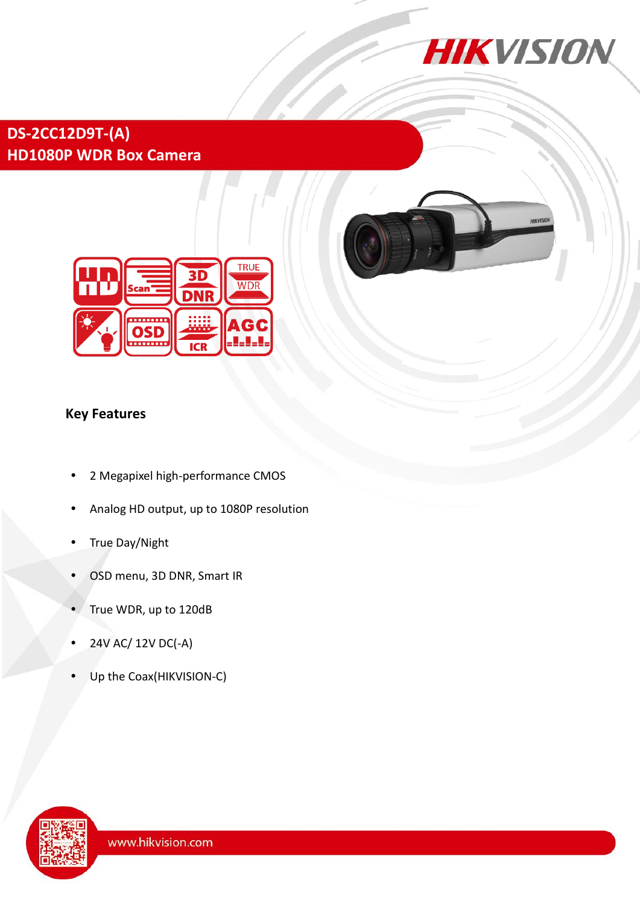

# **DS-2CC12D9T-(A) HD1080P WDR Box Camera**





## **Key Features**

- 2 Megapixel high-performance CMOS
- Analog HD output, up to 1080P resolution
- True Day/Night
- OSD menu, 3D DNR, Smart IR
- True WDR, up to 120dB
- 24V AC/ 12V DC(-A)
- Up the Coax(HIKVISION-C)

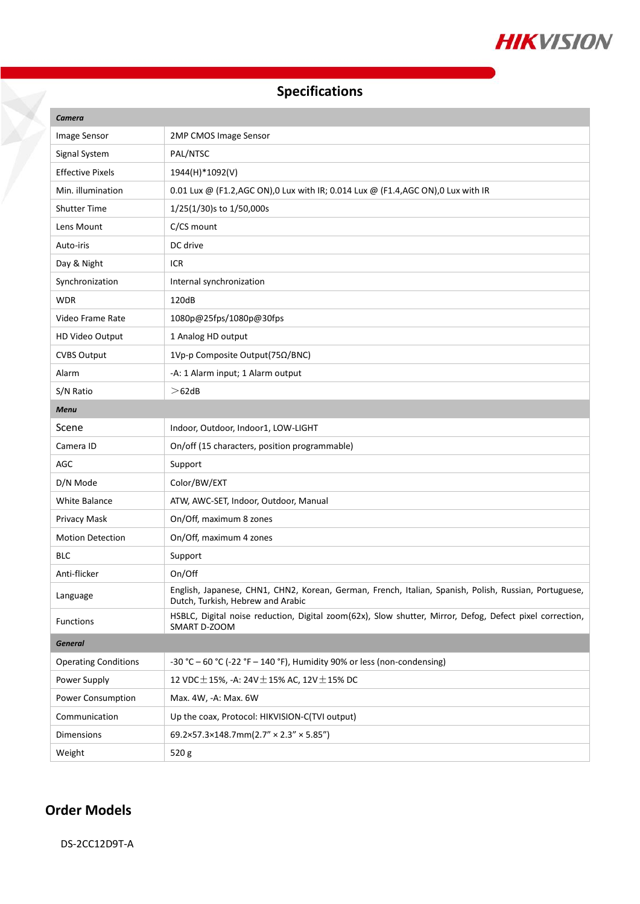

# **Specifications**

| Camera                      |                                                                                                                                           |
|-----------------------------|-------------------------------------------------------------------------------------------------------------------------------------------|
| Image Sensor                | 2MP CMOS Image Sensor                                                                                                                     |
| Signal System               | PAL/NTSC                                                                                                                                  |
| <b>Effective Pixels</b>     | 1944(H)*1092(V)                                                                                                                           |
| Min. illumination           | 0.01 Lux @ (F1.2,AGC ON),0 Lux with IR; 0.014 Lux @ (F1.4,AGC ON),0 Lux with IR                                                           |
| <b>Shutter Time</b>         | 1/25(1/30)s to 1/50,000s                                                                                                                  |
| Lens Mount                  | C/CS mount                                                                                                                                |
| Auto-iris                   | DC drive                                                                                                                                  |
| Day & Night                 | ICR                                                                                                                                       |
| Synchronization             | Internal synchronization                                                                                                                  |
| <b>WDR</b>                  | 120dB                                                                                                                                     |
| Video Frame Rate            | 1080p@25fps/1080p@30fps                                                                                                                   |
| HD Video Output             | 1 Analog HD output                                                                                                                        |
| <b>CVBS Output</b>          | 1Vp-p Composite Output(75Ω/BNC)                                                                                                           |
| Alarm                       | -A: 1 Alarm input; 1 Alarm output                                                                                                         |
| S/N Ratio                   | >62dB                                                                                                                                     |
| <b>Menu</b>                 |                                                                                                                                           |
| Scene                       | Indoor, Outdoor, Indoor1, LOW-LIGHT                                                                                                       |
| Camera ID                   | On/off (15 characters, position programmable)                                                                                             |
| <b>AGC</b>                  | Support                                                                                                                                   |
| D/N Mode                    | Color/BW/EXT                                                                                                                              |
| White Balance               | ATW, AWC-SET, Indoor, Outdoor, Manual                                                                                                     |
| Privacy Mask                | On/Off, maximum 8 zones                                                                                                                   |
| <b>Motion Detection</b>     | On/Off, maximum 4 zones                                                                                                                   |
| <b>BLC</b>                  | Support                                                                                                                                   |
| Anti-flicker                | On/Off                                                                                                                                    |
| Language                    | English, Japanese, CHN1, CHN2, Korean, German, French, Italian, Spanish, Polish, Russian, Portuguese<br>Dutch, Turkish, Hebrew and Arabic |
| <b>Functions</b>            | HSBLC, Digital noise reduction, Digital zoom(62x), Slow shutter, Mirror, Defog, Defect pixel correction,<br>SMART D-ZOOM                  |
| <b>General</b>              |                                                                                                                                           |
| <b>Operating Conditions</b> | -30 °C - 60 °C (-22 °F - 140 °F), Humidity 90% or less (non-condensing)                                                                   |
| Power Supply                | 12 VDC $\pm$ 15%, -A: 24V $\pm$ 15% AC, 12V $\pm$ 15% DC                                                                                  |
| Power Consumption           | Max. 4W, -A: Max. 6W                                                                                                                      |
| Communication               | Up the coax, Protocol: HIKVISION-C(TVI output)                                                                                            |
| Dimensions                  | 69.2×57.3×148.7mm(2.7" × 2.3" × 5.85")                                                                                                    |
| Weight                      | 520 g                                                                                                                                     |

## **Order Models**

X

DS-2CC12D9T-A